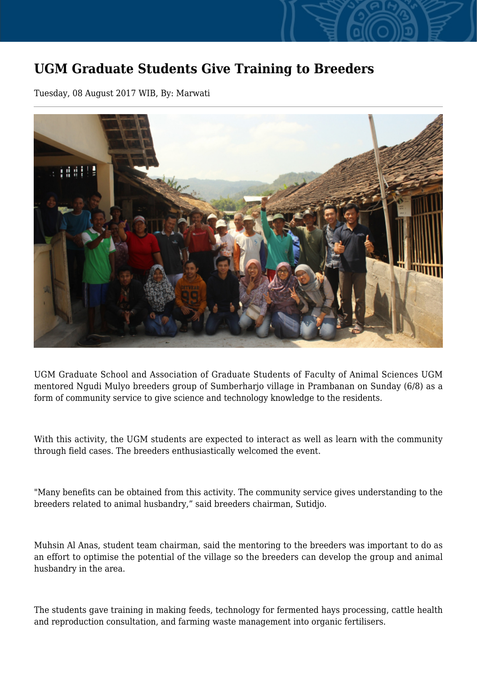## **UGM Graduate Students Give Training to Breeders**

Tuesday, 08 August 2017 WIB, By: Marwati



UGM Graduate School and Association of Graduate Students of Faculty of Animal Sciences UGM mentored Ngudi Mulyo breeders group of Sumberharjo village in Prambanan on Sunday (6/8) as a form of community service to give science and technology knowledge to the residents.

With this activity, the UGM students are expected to interact as well as learn with the community through field cases. The breeders enthusiastically welcomed the event.

"Many benefits can be obtained from this activity. The community service gives understanding to the breeders related to animal husbandry," said breeders chairman, Sutidjo.

Muhsin Al Anas, student team chairman, said the mentoring to the breeders was important to do as an effort to optimise the potential of the village so the breeders can develop the group and animal husbandry in the area.

The students gave training in making feeds, technology for fermented hays processing, cattle health and reproduction consultation, and farming waste management into organic fertilisers.